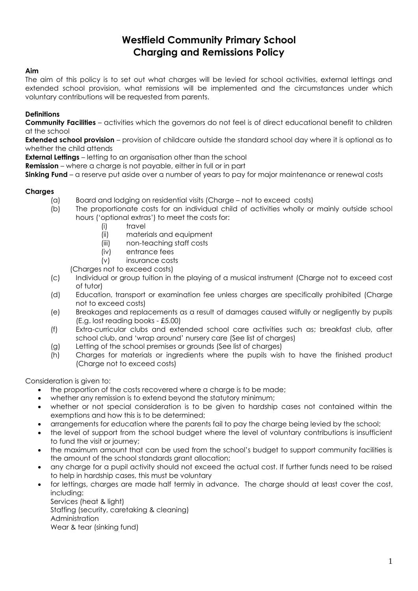# **Westfield Community Primary School Charging and Remissions Policy**

#### **Aim**

The aim of this policy is to set out what charges will be levied for school activities, external lettings and extended school provision, what remissions will be implemented and the circumstances under which voluntary contributions will be requested from parents.

## **Definitions**

**Community Facilities** – activities which the governors do not feel is of direct educational benefit to children at the school

**Extended school provision** – provision of childcare outside the standard school day where it is optional as to whether the child attends

**External Lettings** – letting to an organisation other than the school

**Remission** – where a charge is not payable, either in full or in part

**Sinking Fund** – a reserve put aside over a number of years to pay for major maintenance or renewal costs

## **Charges**

- (a) Board and lodging on residential visits (Charge not to exceed costs)
- (b) The proportionate costs for an individual child of activities wholly or mainly outside school hours ('optional extras') to meet the costs for:
	- (i) travel
	- (ii) materials and equipment
	- (iii) non-teaching staff costs
	- (iv) entrance fees

(v) insurance costs

(Charges not to exceed costs)

- (c) Individual or group tuition in the playing of a musical instrument (Charge not to exceed cost of tutor)
- (d) Education, transport or examination fee unless charges are specifically prohibited (Charge not to exceed costs)
- (e) Breakages and replacements as a result of damages caused wilfully or negligently by pupils (E.g. lost reading books - £5.00)
- (f) Extra-curricular clubs and extended school care activities such as; breakfast club, after school club, and 'wrap around' nursery care (See list of charges)
- (g) Letting of the school premises or grounds (See list of charges)
- (h) Charges for materials or ingredients where the pupils wish to have the finished product (Charge not to exceed costs)

Consideration is given to:

- the proportion of the costs recovered where a charge is to be made;
- whether any remission is to extend beyond the statutory minimum;
- whether or not special consideration is to be given to hardship cases not contained within the exemptions and how this is to be determined;
- arrangements for education where the parents fail to pay the charge being levied by the school;
- the level of support from the school budget where the level of voluntary contributions is insufficient to fund the visit or journey;
- the maximum amount that can be used from the school's budget to support community facilities is the amount of the school standards grant allocation;
- any charge for a pupil activity should not exceed the actual cost. If further funds need to be raised to help in hardship cases, this must be voluntary
- for lettings, charges are made half termly in advance. The charge should at least cover the cost, including:

Services (heat & light) Staffing (security, caretaking & cleaning) Administration Wear & tear (sinking fund)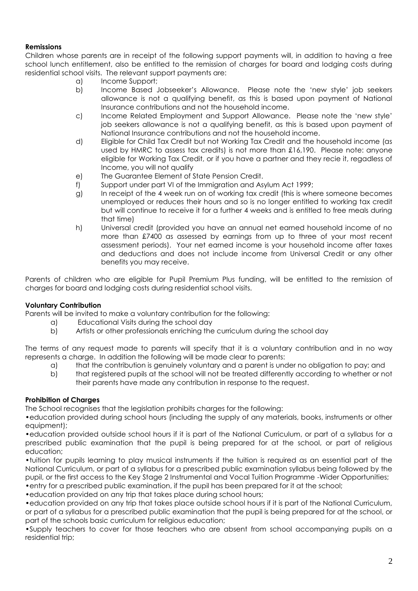## **Remissions**

Children whose parents are in receipt of the following support payments will, in addition to having a free school lunch entitlement, also be entitled to the remission of charges for board and lodging costs during residential school visits. The relevant support payments are:

- a) Income Support;
- b) Income Based Jobseeker's Allowance. Please note the 'new style' job seekers allowance is not a qualifying benefit, as this is based upon payment of National Insurance contributions and not the household income.
- c) Income Related Employment and Support Allowance. Please note the 'new style' job seekers allowance is not a qualifying benefit, as this is based upon payment of National Insurance contributions and not the household income.
- d) Eligible for Child Tax Credit but not Working Tax Credit and the household income (as used by HMRC to assess tax credits) is not more than £16,190. Please note: anyone eligible for Working Tax Credit, or if you have a partner and they recie it, regadless of Income, you will not qualify
- e) The Guarantee Element of State Pension Credit.
- f) Support under part VI of the Immigration and Asylum Act 1999;
- g) In receipt of the 4 week run on of working tax credit (this is where someone becomes unemployed or reduces their hours and so is no longer entitled to working tax credit but will continue to receive it for a further 4 weeks and is entitled to free meals during that time)
- h) Universal credit (provided you have an annual net earned household income of no more than £7400 as assessed by earnings from up to three of your most recent assessment periods). Your net earned income is your household income after taxes and deductions and does not include income from Universal Credit or any other benefits you may receive.

Parents of children who are eligible for Pupil Premium Plus funding, will be entitled to the remission of charges for board and lodging costs during residential school visits.

## **Voluntary Contribution**

Parents will be invited to make a voluntary contribution for the following:

- a) Educational Visits during the school day
- b) Artists or other professionals enriching the curriculum during the school day

The terms of any request made to parents will specify that it is a voluntary contribution and in no way represents a charge. In addition the following will be made clear to parents:

- a) that the contribution is genuinely voluntary and a parent is under no obligation to pay; and
- b) that registered pupils at the school will not be treated differently according to whether or not their parents have made any contribution in response to the request.

## **Prohibition of Charges**

The School recognises that the legislation prohibits charges for the following:

•education provided during school hours (including the supply of any materials, books, instruments or other equipment);

•education provided outside school hours if it is part of the National Curriculum, or part of a syllabus for a prescribed public examination that the pupil is being prepared for at the school, or part of religious education;

•tuition for pupils learning to play musical instruments if the tuition is required as an essential part of the National Curriculum, or part of a syllabus for a prescribed public examination syllabus being followed by the pupil, or the first access to the Key Stage 2 Instrumental and Vocal Tuition Programme -Wider Opportunities; •entry for a prescribed public examination, if the pupil has been prepared for it at the school;

•education provided on any trip that takes place during school hours;

•education provided on any trip that takes place outside school hours if it is part of the National Curriculum, or part of a syllabus for a prescribed public examination that the pupil is being prepared for at the school, or part of the schools basic curriculum for religious education;

•Supply teachers to cover for those teachers who are absent from school accompanying pupils on a residential trip;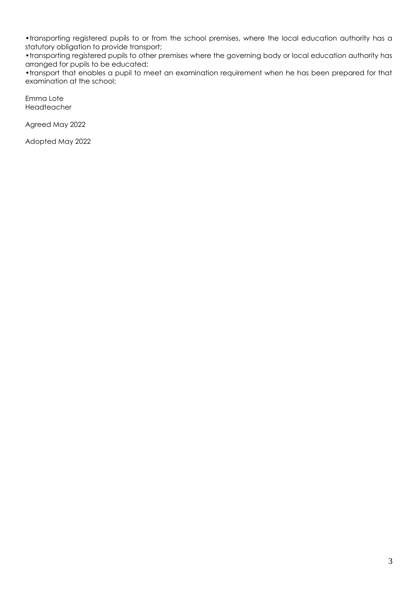•transporting registered pupils to or from the school premises, where the local education authority has a statutory obligation to provide transport;

•transporting registered pupils to other premises where the governing body or local education authority has arranged for pupils to be educated;

•transport that enables a pupil to meet an examination requirement when he has been prepared for that examination at the school;

Emma Lote Headteacher

Agreed May 2022

Adopted May 2022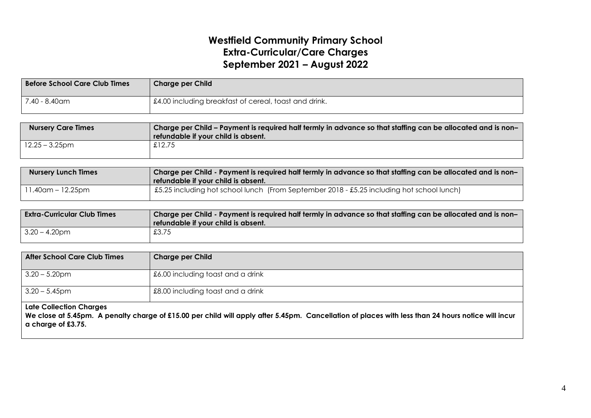# **Westfield Community Primary School Extra-Curricular/Care Charges September 2021 – August 2022**

| <b>Before School Care Club Times</b> | <b>Charge per Child</b>                               |
|--------------------------------------|-------------------------------------------------------|
| 7.40 - 8.40am                        | £4.00 including breakfast of cereal, toast and drink. |

| <b>Nursery Care Times</b> | Charge per Child – Payment is required half termly in advance so that staffing can be allocated and is non–<br>refundable if your child is absent. |
|---------------------------|----------------------------------------------------------------------------------------------------------------------------------------------------|
| $12.25 - 3.25$ pm         | £12.75                                                                                                                                             |

| <b>Nursery Lunch Times</b> | Charge per Child - Payment is required half termly in advance so that staffing can be allocated and is non-<br>refundable if your child is absent. |
|----------------------------|----------------------------------------------------------------------------------------------------------------------------------------------------|
| 11.40am – 12.25pm          | [£5.25 including hot school lunch (From September 2018 - £5.25 including hot school lunch)                                                         |

| <b>Extra-Curricular Club Times</b> | Charge per Child - Payment is required half termly in advance so that staffing can be allocated and is non-<br>refundable if your child is absent. |
|------------------------------------|----------------------------------------------------------------------------------------------------------------------------------------------------|
| $3.20 - 4.20$ pm                   | £3.75                                                                                                                                              |

| After School Care Club Times   | <b>Charge per Child</b>             |
|--------------------------------|-------------------------------------|
| $3.20 - 5.20$ pm               | 1 £6.00 including toast and a drink |
| $3.20 - 5.45$ pm               | £8.00 including toast and a drink   |
| <b>Late Collection Charges</b> |                                     |

We close at 5.45pm. A penalty charge of £15.00 per child will apply after 5.45pm. Cancellation of places with less than 24 hours notice will incur **a charge of £3.75.**